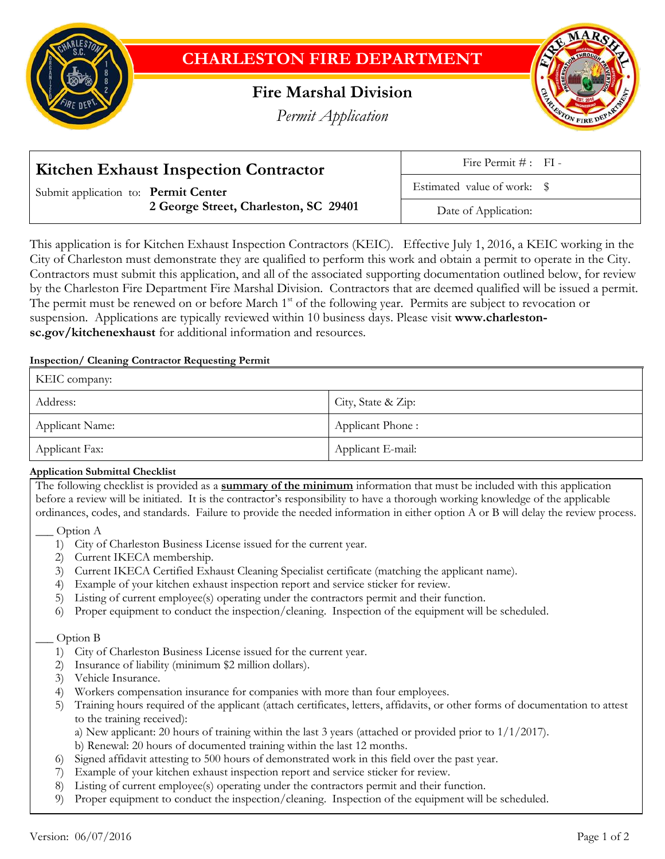

# **CHARLESTON FIRE DEPARTMENT**

## **Fire Marshal Division**

*Permit Application*



| <b>Kitchen Exhaust Inspection Contractor</b> | Fire Permit $\#$ : FI -     |
|----------------------------------------------|-----------------------------|
| Submit application to: Permit Center         | Estimated value of work: \$ |
| 2 George Street, Charleston, SC 29401        | Date of Application:        |

This application is for Kitchen Exhaust Inspection Contractors (KEIC). Effective July 1, 2016, a KEIC working in the City of Charleston must demonstrate they are qualified to perform this work and obtain a permit to operate in the City. Contractors must submit this application, and all of the associated supporting documentation outlined below, for review by the Charleston Fire Department Fire Marshal Division. Contractors that are deemed qualified will be issued a permit. The permit must be renewed on or before March 1<sup>st</sup> of the following year. Permits are subject to revocation or suspension. Applications are typically reviewed within 10 business days. Please visit **www.charlestonsc.gov/kitchenexhaust** for additional information and resources.

## **Inspection/ Cleaning Contractor Requesting Permit**

| KEIC company:   |                    |
|-----------------|--------------------|
| Address:        | City, State & Zip: |
| Applicant Name: | Applicant Phone:   |
| Applicant Fax:  | Applicant E-mail:  |

## **Application Submittal Checklist**

The following checklist is provided as a **summary of the minimum** information that must be included with this application before a review will be initiated. It is the contractor's responsibility to have a thorough working knowledge of the applicable ordinances, codes, and standards. Failure to provide the needed information in either option A or B will delay the review process.

## \_\_\_ Option A

- 1) City of Charleston Business License issued for the current year.
- 2) Current IKECA membership.
- 3) Current IKECA Certified Exhaust Cleaning Specialist certificate (matching the applicant name).
- 4) Example of your kitchen exhaust inspection report and service sticker for review.
- 5) Listing of current employee(s) operating under the contractors permit and their function.
- 6) Proper equipment to conduct the inspection/cleaning. Inspection of the equipment will be scheduled.

## Option B

- 1) City of Charleston Business License issued for the current year.
- 2) Insurance of liability (minimum \$2 million dollars).
- 3) Vehicle Insurance.
- 4) Workers compensation insurance for companies with more than four employees.
- 5) Training hours required of the applicant (attach certificates, letters, affidavits, or other forms of documentation to attest to the training received):
	- a) New applicant: 20 hours of training within the last 3 years (attached or provided prior to  $1/1/2017$ ).
	- b) Renewal: 20 hours of documented training within the last 12 months.
- 6) Signed affidavit attesting to 500 hours of demonstrated work in this field over the past year.
- 7) Example of your kitchen exhaust inspection report and service sticker for review.
- 8) Listing of current employee(s) operating under the contractors permit and their function.
- 9) Proper equipment to conduct the inspection/cleaning. Inspection of the equipment will be scheduled.